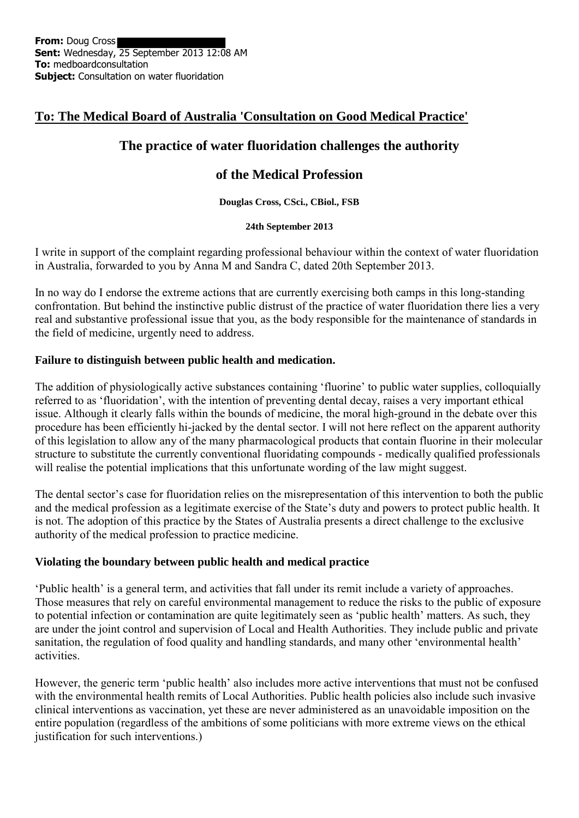# **To: The Medical Board of Australia 'Consultation on Good Medical Practice'**

# **The practice of water fluoridation challenges the authority**

## **of the Medical Profession**

**Douglas Cross, CSci., CBiol., FSB**

#### **24th September 2013**

I write in support of the complaint regarding professional behaviour within the context of water fluoridation in Australia, forwarded to you by Anna M and Sandra C, dated 20th September 2013.

In no way do I endorse the extreme actions that are currently exercising both camps in this long-standing confrontation. But behind the instinctive public distrust of the practice of water fluoridation there lies a very real and substantive professional issue that you, as the body responsible for the maintenance of standards in the field of medicine, urgently need to address.

## **Failure to distinguish between public health and medication.**

The addition of physiologically active substances containing 'fluorine' to public water supplies, colloquially referred to as 'fluoridation', with the intention of preventing dental decay, raises a very important ethical issue. Although it clearly falls within the bounds of medicine, the moral high-ground in the debate over this procedure has been efficiently hi-jacked by the dental sector. I will not here reflect on the apparent authority of this legislation to allow any of the many pharmacological products that contain fluorine in their molecular structure to substitute the currently conventional fluoridating compounds - medically qualified professionals will realise the potential implications that this unfortunate wording of the law might suggest.

The dental sector's case for fluoridation relies on the misrepresentation of this intervention to both the public and the medical profession as a legitimate exercise of the State's duty and powers to protect public health. It is not. The adoption of this practice by the States of Australia presents a direct challenge to the exclusive authority of the medical profession to practice medicine.

## **Violating the boundary between public health and medical practice**

'Public health' is a general term, and activities that fall under its remit include a variety of approaches. Those measures that rely on careful environmental management to reduce the risks to the public of exposure to potential infection or contamination are quite legitimately seen as 'public health' matters. As such, they are under the joint control and supervision of Local and Health Authorities. They include public and private sanitation, the regulation of food quality and handling standards, and many other 'environmental health' activities.

However, the generic term 'public health' also includes more active interventions that must not be confused with the environmental health remits of Local Authorities. Public health policies also include such invasive clinical interventions as vaccination, yet these are never administered as an unavoidable imposition on the entire population (regardless of the ambitions of some politicians with more extreme views on the ethical justification for such interventions.)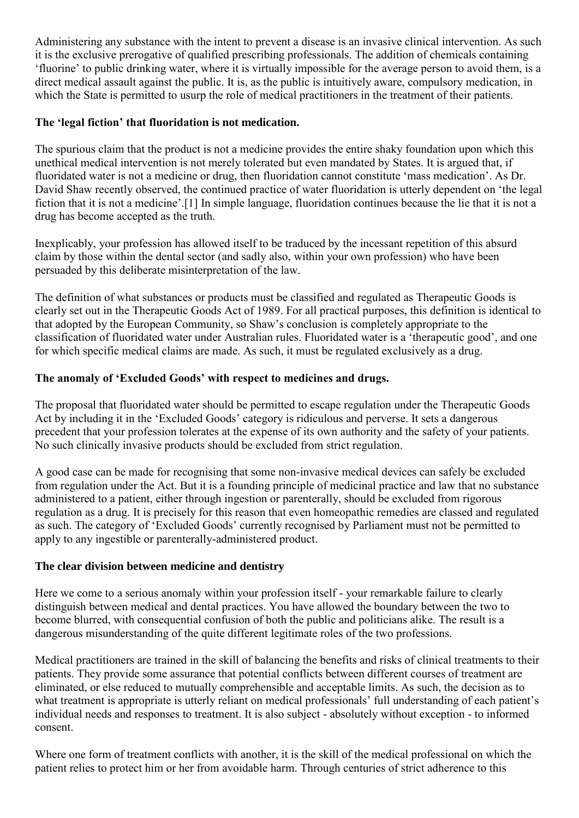Administering any substance with the intent to prevent a disease is an invasive clinical intervention. As such it is the exclusive prerogative of qualified prescribing professionals. The addition of chemicals containing 'fluorine' to public drinking water, where it is virtually impossible for the average person to avoid them, is a direct medical assault against the public. It is, as the public is intuitively aware, compulsory medication, in which the State is permitted to usurp the role of medical practitioners in the treatment of their patients.

### **The 'legal fiction' that fluoridation is not medication.**

The spurious claim that the product is not a medicine provides the entire shaky foundation upon which this unethical medical intervention is not merely tolerated but even mandated by States. It is argued that, if fluoridated water is not a medicine or drug, then fluoridation cannot constitute 'mass medication'. As Dr. David Shaw recently observed, the continued practice of water fluoridation is utterly dependent on 'the legal fiction that it is not a medicine'.[1] In simple language, fluoridation continues because the lie that it is not a drug has become accepted as the truth.

Inexplicably, your profession has allowed itself to be traduced by the incessant repetition of this absurd claim by those within the dental sector (and sadly also, within your own profession) who have been persuaded by this deliberate misinterpretation of the law.

The definition of what substances or products must be classified and regulated as Therapeutic Goods is clearly set out in the Therapeutic Goods Act of 1989. For all practical purposes, this definition is identical to that adopted by the European Community, so Shaw's conclusion is completely appropriate to the classification of fluoridated water under Australian rules. Fluoridated water is a 'therapeutic good', and one for which specific medical claims are made. As such, it must be regulated exclusively as a drug.

### **The anomaly of 'Excluded Goods' with respect to medicines and drugs.**

The proposal that fluoridated water should be permitted to escape regulation under the Therapeutic Goods Act by including it in the 'Excluded Goods' category is ridiculous and perverse. It sets a dangerous precedent that your profession tolerates at the expense of its own authority and the safety of your patients. No such clinically invasive products should be excluded from strict regulation.

A good case can be made for recognising that some non-invasive medical devices can safely be excluded from regulation under the Act. But it is a founding principle of medicinal practice and law that no substance administered to a patient, either through ingestion or parenterally, should be excluded from rigorous regulation as a drug. It is precisely for this reason that even homeopathic remedies are classed and regulated as such. The category of 'Excluded Goods' currently recognised by Parliament must not be permitted to apply to any ingestible or parenterally-administered product.

#### **The clear division between medicine and dentistry**

Here we come to a serious anomaly within your profession itself - your remarkable failure to clearly distinguish between medical and dental practices. You have allowed the boundary between the two to become blurred, with consequential confusion of both the public and politicians alike. The result is a dangerous misunderstanding of the quite different legitimate roles of the two professions.

Medical practitioners are trained in the skill of balancing the benefits and risks of clinical treatments to their patients. They provide some assurance that potential conflicts between different courses of treatment are eliminated, or else reduced to mutually comprehensible and acceptable limits. As such, the decision as to what treatment is appropriate is utterly reliant on medical professionals' full understanding of each patient's individual needs and responses to treatment. It is also subject - absolutely without exception - to informed consent.

Where one form of treatment conflicts with another, it is the skill of the medical professional on which the patient relies to protect him or her from avoidable harm. Through centuries of strict adherence to this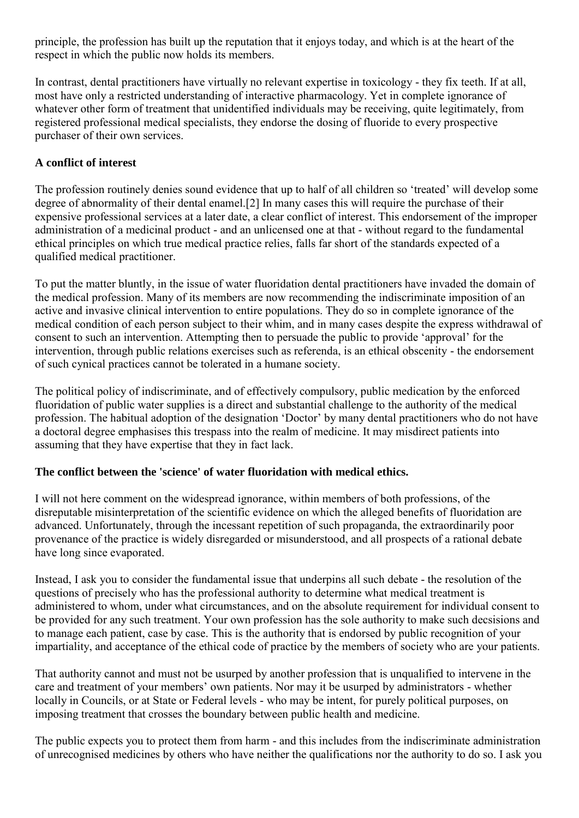principle, the profession has built up the reputation that it enjoys today, and which is at the heart of the respect in which the public now holds its members.

In contrast, dental practitioners have virtually no relevant expertise in toxicology - they fix teeth. If at all, most have only a restricted understanding of interactive pharmacology. Yet in complete ignorance of whatever other form of treatment that unidentified individuals may be receiving, quite legitimately, from registered professional medical specialists, they endorse the dosing of fluoride to every prospective purchaser of their own services.

## **A conflict of interest**

The profession routinely denies sound evidence that up to half of all children so 'treated' will develop some degree of abnormality of their dental enamel.[2] In many cases this will require the purchase of their expensive professional services at a later date, a clear conflict of interest. This endorsement of the improper administration of a medicinal product - and an unlicensed one at that - without regard to the fundamental ethical principles on which true medical practice relies, falls far short of the standards expected of a qualified medical practitioner.

To put the matter bluntly, in the issue of water fluoridation dental practitioners have invaded the domain of the medical profession. Many of its members are now recommending the indiscriminate imposition of an active and invasive clinical intervention to entire populations. They do so in complete ignorance of the medical condition of each person subject to their whim, and in many cases despite the express withdrawal of consent to such an intervention. Attempting then to persuade the public to provide 'approval' for the intervention, through public relations exercises such as referenda, is an ethical obscenity - the endorsement of such cynical practices cannot be tolerated in a humane society.

The political policy of indiscriminate, and of effectively compulsory, public medication by the enforced fluoridation of public water supplies is a direct and substantial challenge to the authority of the medical profession. The habitual adoption of the designation 'Doctor' by many dental practitioners who do not have a doctoral degree emphasises this trespass into the realm of medicine. It may misdirect patients into assuming that they have expertise that they in fact lack.

## **The conflict between the 'science' of water fluoridation with medical ethics.**

I will not here comment on the widespread ignorance, within members of both professions, of the disreputable misinterpretation of the scientific evidence on which the alleged benefits of fluoridation are advanced. Unfortunately, through the incessant repetition of such propaganda, the extraordinarily poor provenance of the practice is widely disregarded or misunderstood, and all prospects of a rational debate have long since evaporated.

Instead, I ask you to consider the fundamental issue that underpins all such debate - the resolution of the questions of precisely who has the professional authority to determine what medical treatment is administered to whom, under what circumstances, and on the absolute requirement for individual consent to be provided for any such treatment. Your own profession has the sole authority to make such decsisions and to manage each patient, case by case. This is the authority that is endorsed by public recognition of your impartiality, and acceptance of the ethical code of practice by the members of society who are your patients.

That authority cannot and must not be usurped by another profession that is unqualified to intervene in the care and treatment of your members' own patients. Nor may it be usurped by administrators - whether locally in Councils, or at State or Federal levels - who may be intent, for purely political purposes, on imposing treatment that crosses the boundary between public health and medicine.

The public expects you to protect them from harm - and this includes from the indiscriminate administration of unrecognised medicines by others who have neither the qualifications nor the authority to do so. I ask you